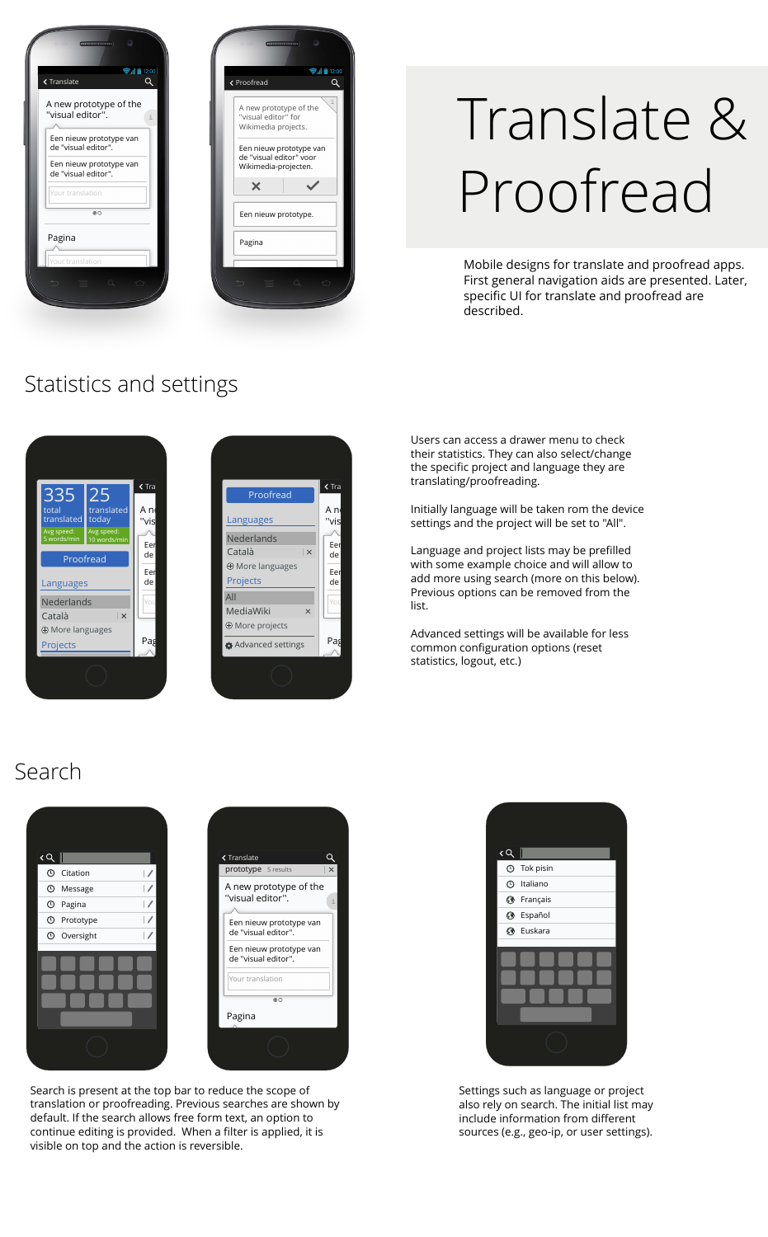

| < Proofread |                                                                            | $\approx$ $d \approx 12:00$<br>Q |
|-------------|----------------------------------------------------------------------------|----------------------------------|
|             | A new prototype of the<br>"visual editor" for<br>Wikimedia projects.       |                                  |
|             | Een nieuw prototype van<br>de "visual editor" voor<br>Wikimedia-projecten. |                                  |
| $\times$    |                                                                            |                                  |
|             |                                                                            |                                  |
|             | Een nieuw prototype.                                                       |                                  |
| Pagina      |                                                                            |                                  |

# Translate & Proofread

Mobile designs for translate and proofread apps. First general navigation aids are presented. Later, specific UI for translate and proofread are described.

### Statistics and settings





Users can access a drawer menu to check their statistics. They can also select/change the specific project and language they are translating/proofreading.

A new prototol initially language will be taken rom the device settings and the project will be set to "All".

 $\frac{E_{\text{eff}}}{\text{det}}$  add more using search (more on this below). Language and project lists may be prefilled with some example choice and will allow to Previous options can be removed from the list.

> Advanced settings will be available for less common configuration options (reset statistics, logout, etc.)

#### Search





Search is present at the top bar to reduce the scope of translation or proofreading. Previous searches are shown by default. If the search allows free form text, an option to continue editing is provided. When a filter is applied, it is visible on top and the action is reversible.



Settings such as language or project also rely on search. The initial list may include information from different sources (e.g., geo-ip, or user settings).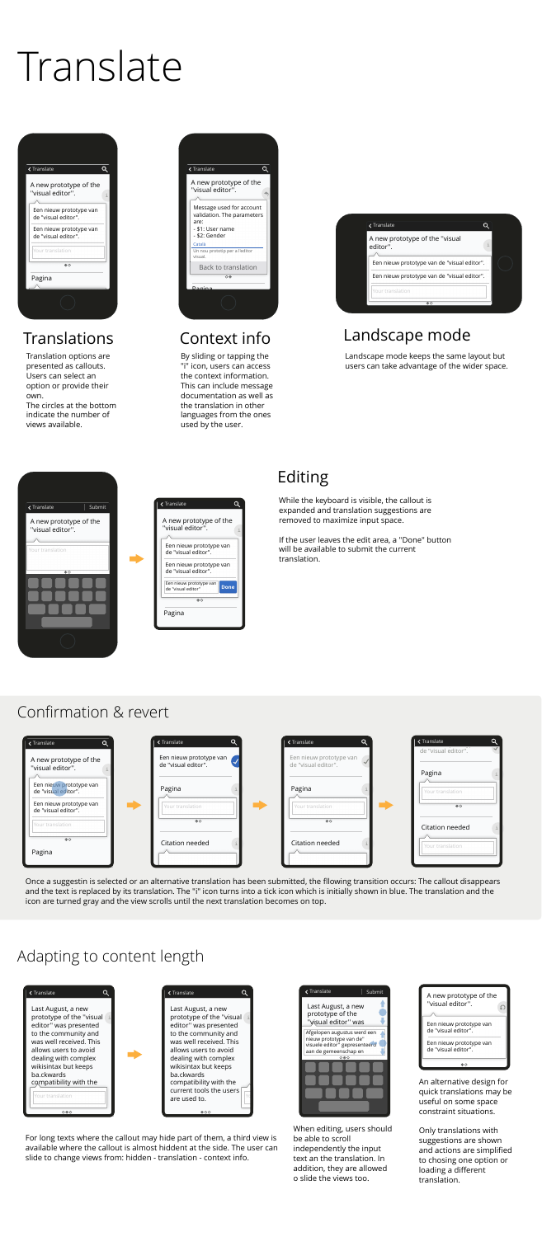

# Translate

### Translations Context info Landscape mode

#### Confirmation & revert







| ← Translate                                    | <b>く Translate</b>                             | <b>く Translate</b>                             | <b>くTranslate</b>          |  |
|------------------------------------------------|------------------------------------------------|------------------------------------------------|----------------------------|--|
| A new prototype of the<br>"visual editor".     | Een nieuw prototype van<br>de "visual editor". | Een nieuw prototype van<br>de "visual editor". | de "visual editor".        |  |
| Een nieuw prototype van<br>de "visual editor". | Pagina                                         | Pagina                                         | Pagina<br>Your translation |  |
| Een nieuw prototype van<br>de "visual editor". | Your translation                               | Your translation                               | @O                         |  |





#### Adapting to content length





#### Editing

Translation options are presented as callouts. Users can select an option or provide their own.

The circles at the bottom indicate the number of views available.

By sliding or tapping the "i" icon, users can access the context information. This can include message documentation as well as the translation in other languages from the ones used by the user.

Landscape mode keeps the same layout but users can take advantage of the wider space.

While the keyboard is visible, the callout is expanded and translation suggestions are removed to maximize input space.

If the user leaves the edit area, a "Done" button will be available to submit the current translation.

Once a suggestin is selected or an alternative translation has been submitted, the fllowing transition occurs: The callout disappears and the text is replaced by its translation. The "i" icon turns into a tick icon which is initially shown in blue. The translation and the icon are turned gray and the view scrolls until the next translation becomes on top.

For long texts where the callout may hide part of them, a third view is available where the callout is almost hiddent at the side. The user can slide to change views from: hidden - translation - context info.

When editing, users should be able to scroll independently the input text an the translation. In addition, they are allowed o slide the views too.



An alternative design for quick translations may be useful on some space constraint situations.

Only translations with suggestions are shown and actions are simplified to chosing one option or loading a different translation.